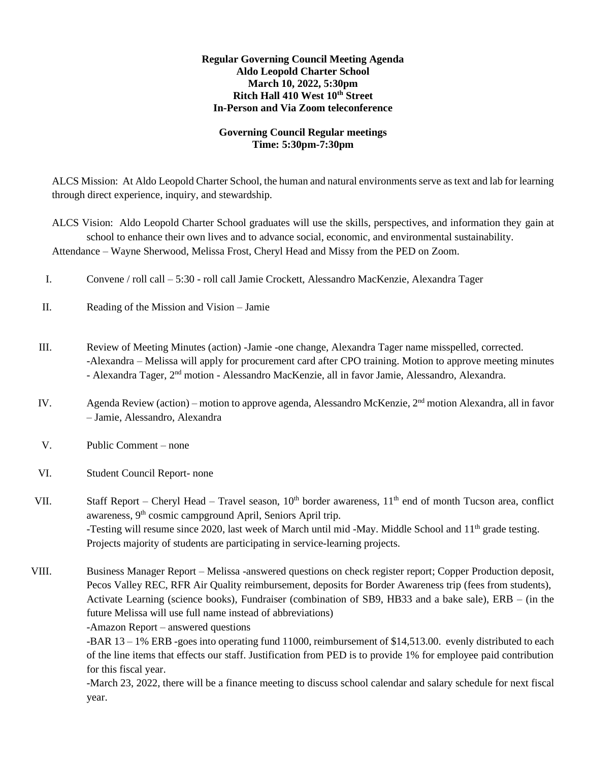## **Regular Governing Council Meeting Agenda Aldo Leopold Charter School March 10, 2022, 5:30pm Ritch Hall 410 West 10th Street In-Person and Via Zoom teleconference**

# **Governing Council Regular meetings Time: 5:30pm-7:30pm**

ALCS Mission: At Aldo Leopold Charter School, the human and natural environments serve as text and lab for learning through direct experience, inquiry, and stewardship.

ALCS Vision: Aldo Leopold Charter School graduates will use the skills, perspectives, and information they gain at school to enhance their own lives and to advance social, economic, and environmental sustainability. Attendance – Wayne Sherwood, Melissa Frost, Cheryl Head and Missy from the PED on Zoom.

- I. Convene / roll call 5:30 roll call Jamie Crockett, Alessandro MacKenzie, Alexandra Tager
- II. Reading of the Mission and Vision Jamie
- III. Review of Meeting Minutes (action) -Jamie -one change, Alexandra Tager name misspelled, corrected. -Alexandra – Melissa will apply for procurement card after CPO training. Motion to approve meeting minutes - Alexandra Tager, 2<sup>nd</sup> motion - Alessandro MacKenzie, all in favor Jamie, Alessandro, Alexandra.
- IV. Agenda Review (action) motion to approve agenda, Alessandro McKenzie, 2nd motion Alexandra, all in favor – Jamie, Alessandro, Alexandra
- V. Public Comment none
- VI. Student Council Report- none
- VII. Staff Report Cheryl Head Travel season,  $10^{th}$  border awareness,  $11^{th}$  end of month Tucson area, conflict awareness, 9<sup>th</sup> cosmic campground April, Seniors April trip. -Testing will resume since 2020, last week of March until mid -May. Middle School and 11<sup>th</sup> grade testing. Projects majority of students are participating in service-learning projects.

VIII. Business Manager Report – Melissa -answered questions on check register report; Copper Production deposit, Pecos Valley REC, RFR Air Quality reimbursement, deposits for Border Awareness trip (fees from students), Activate Learning (science books), Fundraiser (combination of SB9, HB33 and a bake sale), ERB – (in the future Melissa will use full name instead of abbreviations)

-Amazon Report – answered questions

-BAR 13 – 1% ERB -goes into operating fund 11000, reimbursement of \$14,513.00. evenly distributed to each of the line items that effects our staff. Justification from PED is to provide 1% for employee paid contribution for this fiscal year.

-March 23, 2022, there will be a finance meeting to discuss school calendar and salary schedule for next fiscal year.